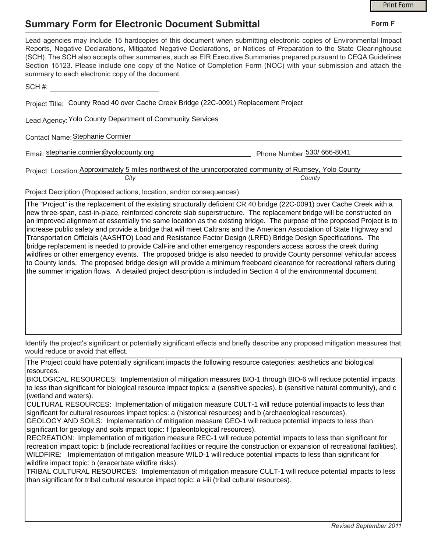## **Summary Form for Electronic Document Submittal**

|                                                                                                                                                                                                                                                                                                                                                                                                                                                                                                                                           |                             | <b>Print Form</b> |
|-------------------------------------------------------------------------------------------------------------------------------------------------------------------------------------------------------------------------------------------------------------------------------------------------------------------------------------------------------------------------------------------------------------------------------------------------------------------------------------------------------------------------------------------|-----------------------------|-------------------|
| <b>Summary Form for Electronic Document Submittal</b>                                                                                                                                                                                                                                                                                                                                                                                                                                                                                     |                             | Form F            |
| Lead agencies may include 15 hardcopies of this document when submitting electronic copies of Environmental Impact<br>Reports, Negative Declarations, Mitigated Negative Declarations, or Notices of Preparation to the State Clearinghouse<br>(SCH). The SCH also accepts other summaries, such as EIR Executive Summaries prepared pursuant to CEQA Guidelines<br>Section 15123. Please include one copy of the Notice of Completion Form (NOC) with your submission and attach the<br>summary to each electronic copy of the document. |                             |                   |
| SCH#:                                                                                                                                                                                                                                                                                                                                                                                                                                                                                                                                     |                             |                   |
| Project Title: County Road 40 over Cache Creek Bridge (22C-0091) Replacement Project                                                                                                                                                                                                                                                                                                                                                                                                                                                      |                             |                   |
| Lead Agency: Yolo County Department of Community Services                                                                                                                                                                                                                                                                                                                                                                                                                                                                                 |                             |                   |
| Contact Name: Stephanie Cormier                                                                                                                                                                                                                                                                                                                                                                                                                                                                                                           |                             |                   |
| Email: stephanie.cormier@yolocounty.org                                                                                                                                                                                                                                                                                                                                                                                                                                                                                                   | Phone Number: 530/ 666-8041 |                   |
| Project Location: Approximately 5 miles northwest of the unincorporated community of Rumsey, Yolo County<br>County<br>City                                                                                                                                                                                                                                                                                                                                                                                                                |                             |                   |
|                                                                                                                                                                                                                                                                                                                                                                                                                                                                                                                                           |                             |                   |

Project Decription (Proposed actions, location, and/or consequences).

The "Project" is the replacement of the existing structurally deficient CR 40 bridge (22C-0091) over Cache Creek with a new three-span, cast-in-place, reinforced concrete slab superstructure. The replacement bridge will be constructed on an improved alignment at essentially the same location as the existing bridge. The purpose of the proposed Project is to increase public safety and provide a bridge that will meet Caltrans and the American Association of State Highway and Transportation Officials (AASHTO) Load and Resistance Factor Design (LRFD) Bridge Design Specifications. The bridge replacement is needed to provide CalFire and other emergency responders access across the creek during wildfires or other emergency events. The proposed bridge is also needed to provide County personnel vehicular access to County lands. The proposed bridge design will provide a minimum freeboard clearance for recreational rafters during the summer irrigation flows. A detailed project description is included in Section 4 of the environmental document.

Identify the project's significant or potentially significant effects and briefly describe any proposed mitigation measures that would reduce or avoid that effect.

The Project could have potentially significant impacts the following resource categories: aesthetics and biological resources.

BIOLOGICAL RESOURCES: Implementation of mitigation measures BIO-1 through BIO-6 will reduce potential impacts to less than significant for biological resource impact topics: a (sensitive species), b (sensitive natural community), and c (wetland and waters).

CULTURAL RESOURCES: Implementation of mitigation measure CULT-1 will reduce potential impacts to less than significant for cultural resources impact topics: a (historical resources) and b (archaeological resources).

GEOLOGY AND SOILS: Implementation of mitigation measure GEO-1 will reduce potential impacts to less than significant for geology and soils impact topic: f (paleontological resources).

RECREATION: Implementation of mitigation measure REC-1 will reduce potential impacts to less than significant for recreation impact topic: b (include recreational facilities or require the construction or expansion of recreational facilities). WILDFIRE: Implementation of mitigation measure WILD-1 will reduce potential impacts to less than significant for wildfire impact topic: b (exacerbate wildfire risks).

TRIBAL CULTURAL RESOURCES: Implementation of mitigation measure CULT-1 will reduce potential impacts to less than significant for tribal cultural resource impact topic: a i-iii (tribal cultural resources).